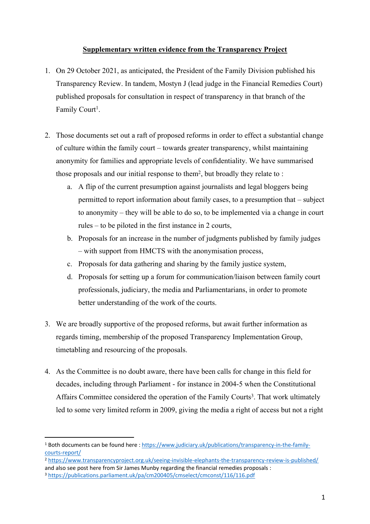## **Supplementary written evidence from the Transparency Project**

- 1. On 29 October 2021, as anticipated, the President of the Family Division published his Transparency Review. In tandem, Mostyn J (lead judge in the Financial Remedies Court) published proposals for consultation in respect of transparency in that branch of the Family Court<sup>1</sup>.
- 2. Those documents set out a raft of proposed reforms in order to effect a substantial change of culture within the family court – towards greater transparency, whilst maintaining anonymity for families and appropriate levels of confidentiality. We have summarised those proposals and our initial response to them<sup>2</sup>, but broadly they relate to:
	- a. A flip of the current presumption against journalists and legal bloggers being permitted to report information about family cases, to a presumption that – subject to anonymity – they will be able to do so, to be implemented via a change in court rules – to be piloted in the first instance in 2 courts,
	- b. Proposals for an increase in the number of judgments published by family judges – with support from HMCTS with the anonymisation process,
	- c. Proposals for data gathering and sharing by the family justice system,
	- d. Proposals for setting up a forum for communication/liaison between family court professionals, judiciary, the media and Parliamentarians, in order to promote better understanding of the work of the courts.
- 3. We are broadly supportive of the proposed reforms, but await further information as regards timing, membership of the proposed Transparency Implementation Group, timetabling and resourcing of the proposals.
- 4. As the Committee is no doubt aware, there have been calls for change in this field for decades, including through Parliament - for instance in 2004-5 when the Constitutional Affairs Committee considered the operation of the Family Courts<sup>3</sup>. That work ultimately led to some very limited reform in 2009, giving the media a right of access but not a right

<sup>2</sup> <https://www.transparencyproject.org.uk/seeing-invisible-elephants-the-transparency-review-is-published/> and also see post here from Sir James Munby regarding the financial remedies proposals :

<sup>1</sup> Both documents can be found here : [https://www.judiciary.uk/publications/transparency-in-the-family](https://www.judiciary.uk/publications/transparency-in-the-family-courts-report/)[courts-report/](https://www.judiciary.uk/publications/transparency-in-the-family-courts-report/)

<sup>3</sup> <https://publications.parliament.uk/pa/cm200405/cmselect/cmconst/116/116.pdf>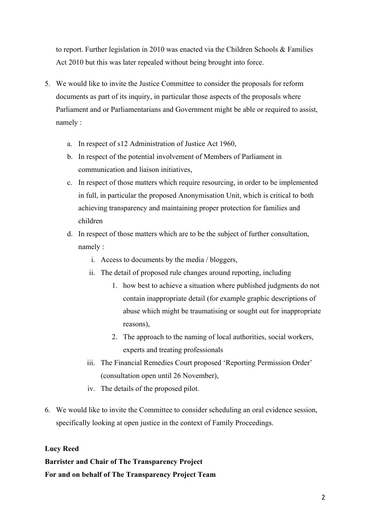to report. Further legislation in 2010 was enacted via the Children Schools & Families Act 2010 but this was later repealed without being brought into force.

- 5. We would like to invite the Justice Committee to consider the proposals for reform documents as part of its inquiry, in particular those aspects of the proposals where Parliament and or Parliamentarians and Government might be able or required to assist, namely :
	- a. In respect of s12 Administration of Justice Act 1960,
	- b. In respect of the potential involvement of Members of Parliament in communication and liaison initiatives,
	- c. In respect of those matters which require resourcing, in order to be implemented in full, in particular the proposed Anonymisation Unit, which is critical to both achieving transparency and maintaining proper protection for families and children
	- d. In respect of those matters which are to be the subject of further consultation, namely :
		- i. Access to documents by the media / bloggers,
		- ii. The detail of proposed rule changes around reporting, including
			- 1. how best to achieve a situation where published judgments do not contain inappropriate detail (for example graphic descriptions of abuse which might be traumatising or sought out for inappropriate reasons),
			- 2. The approach to the naming of local authorities, social workers, experts and treating professionals
		- iii. The Financial Remedies Court proposed 'Reporting Permission Order' (consultation open until 26 November),
		- iv. The details of the proposed pilot.
- 6. We would like to invite the Committee to consider scheduling an oral evidence session, specifically looking at open justice in the context of Family Proceedings.

## **Lucy Reed**

## **Barrister and Chair of The Transparency Project For and on behalf of The Transparency Project Team**